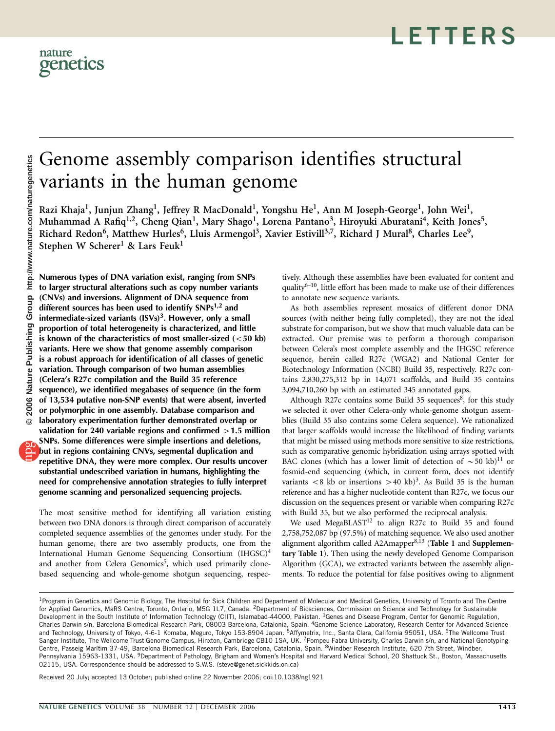

# Genome assembly comparison identifies structural variants in the human genome

Razi Khaja<sup>1</sup>, Junjun Zhang<sup>1</sup>, Jeffrey R MacDonald<sup>1</sup>, Yongshu He<sup>1</sup>, Ann M Joseph-George<sup>1</sup>, John Wei<sup>1</sup>, Muhammad A Rafiq<sup>1,2</sup>, Cheng Qian<sup>1</sup>, Mary Shago<sup>1</sup>, Lorena Pantano<sup>3</sup>, Hiroyuki Aburatani<sup>4</sup>, Keith Jones<sup>5</sup>, Richard Redon<sup>6</sup>, Matthew Hurles<sup>6</sup>, Lluis Armengol<sup>3</sup>, Xavier Estivill<sup>3,7</sup>, Richard J Mural<sup>8</sup>, Charles Lee<sup>9</sup>, Stephen W Scherer<sup>1</sup> & Lars Feuk<sup>1</sup>

Numerous types of DNA variation exist, ranging from SNPs to larger structural alterations such as copy number variants (CNVs) and inversions. Alignment of DNA sequence from different sources has been used to identify  $SNPs^{1,2}$  and intermediate-sized variants  $(ISVs)^3$ . However, only a small proportion of total heterogeneity is characterized, and little is known of the characteristics of most smaller-sized  $(<50$  kb) variants. Here we show that genome assembly comparison is a robust approach for identification of all classes of genetic variation. Through comparison of two human assemblies (Celera's R27c compilation and the Build 35 reference sequence), we identified megabases of sequence (in the form of 13,534 putative non-SNP events) that were absent, inverted or polymorphic in one assembly. Database comparison and laboratory experimentation further demonstrated overlap or validation for 240 variable regions and confirmed  $>1.5$  million SNPs. Some differences were simple insertions and deletions, but in regions containing CNVs, segmental duplication and repetitive DNA, they were more complex. Our results uncover substantial undescribed variation in humans, highlighting the need for comprehensive annotation strategies to fully interpret genome scanning and personalized sequencing projects.

The most sensitive method for identifying all variation existing between two DNA donors is through direct comparison of accurately completed sequence assemblies of the genomes under study. For the human genome, there are two assembly products, one from the International Human Genome Sequencing Consortium (IHGSC)4 and another from Celera Genomics<sup>5</sup>, which used primarily clonebased sequencing and whole-genome shotgun sequencing, respectively. Although these assemblies have been evaluated for content and quality<sup>6–10</sup>, little effort has been made to make use of their differences to annotate new sequence variants.

As both assemblies represent mosaics of different donor DNA sources (with neither being fully completed), they are not the ideal substrate for comparison, but we show that much valuable data can be extracted. Our premise was to perform a thorough comparison between Celera's most complete assembly and the IHGSC reference sequence, herein called R27c (WGA2) and National Center for Biotechnology Information (NCBI) Build 35, respectively. R27c contains 2,830,275,312 bp in 14,071 scaffolds, and Build 35 contains 3,094,710,260 bp with an estimated 345 annotated gaps.

Although R27c contains some Build 35 sequences<sup>8</sup>, for this study we selected it over other Celera-only whole-genome shotgun assemblies (Build 35 also contains some Celera sequence). We rationalized that larger scaffolds would increase the likelihood of finding variants that might be missed using methods more sensitive to size restrictions, such as comparative genomic hybridization using arrays spotted with BAC clones (which has a lower limit of detection of  $\sim$  50 kb)<sup>11</sup> or fosmid-end sequencing (which, in current form, does not identify variants  $\langle 8 \rangle$  kb or insertions  $> 40 \text{ kb}$ <sup>3</sup>. As Build 35 is the human reference and has a higher nucleotide content than R27c, we focus our discussion on the sequences present or variable when comparing R27c with Build 35, but we also performed the reciprocal analysis.

We used MegaBLAST<sup>12</sup> to align R27c to Build 35 and found 2,758,752,087 bp (97.5%) of matching sequence. We also used another alignment algorithm called A2Amapper<sup>8,13</sup> (Table 1 and Supplementary Table 1). Then using the newly developed Genome Comparison Algorithm (GCA), we extracted variants between the assembly alignments. To reduce the potential for false positives owing to alignment

Received 20 July; accepted 13 October; published online 22 November 2006; doi:10.1038/ng1921

<sup>&</sup>lt;sup>1</sup>Program in Genetics and Genomic Biology, The Hospital for Sick Children and Department of Molecular and Medical Genetics, University of Toronto and The Centre for Applied Genomics, MaRS Centre, Toronto, Ontario, M5G 1L7, Canada. 2Department of Biosciences, Commission on Science and Technology for Sustainable Development in the South Institute of Information Technology (CIIT), Islamabad-44000, Pakistan. <sup>3</sup>Genes and Disease Program, Center for Genomic Regulation, Charles Darwin s/n, Barcelona Biomedical Research Park, 08003 Barcelona, Catalonia, Spain. 4Genome Science Laboratory, Research Center for Advanced Science and Technology, University of Tokyo, 4-6-1 Komaba, Meguro, Tokyo 153-8904 Japan. <sup>5</sup>Affymetrix, Inc., Santa Clara, California 95051, USA. <sup>6</sup>The Wellcome Trust Sanger Institute, The Wellcome Trust Genome Campus, Hinxton, Cambridge CB10 1SA, UK. <sup>7</sup>Pompeu Fabra University, Charles Darwin s/n, and National Genotyping Centre, Passeig Marítim 37-49, Barcelona Biomedical Research Park, Barcelona, Catalonia, Spain. <sup>8</sup>Windber Research Institute, 620 7th Street, Windber, Pennsylvania 15963-1331, USA. <sup>9</sup>Department of Pathology, Brigham and Women's Hospital and Harvard Medical School, 20 Shattuck St., Boston, Massachusetts 02115, USA. Correspondence should be addressed to S.W.S. (steve@genet.sickkids.on.ca)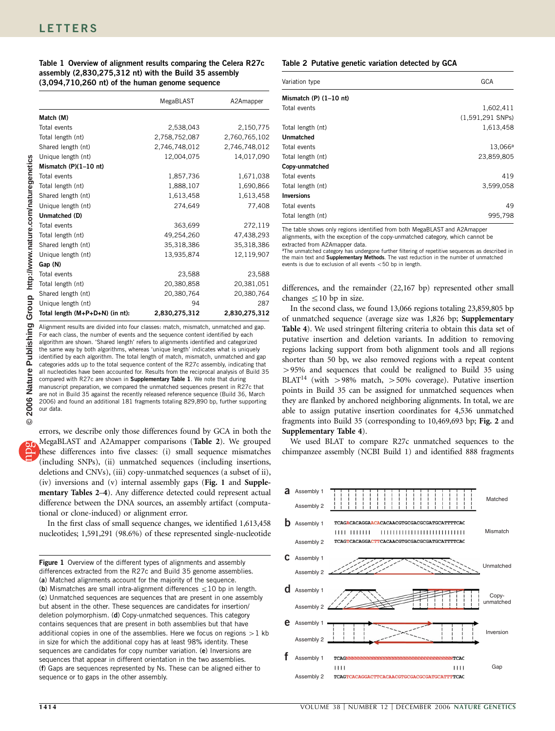Table 1 Overview of alignment results comparing the Celera R27c assembly (2,830,275,312 nt) with the Build 35 assembly (3,094,710,260 nt) of the human genome sequence

|                                 | MegaBLAST     | A2Amapper     |
|---------------------------------|---------------|---------------|
| Match (M)                       |               |               |
| Total events                    | 2,538,043     | 2,150,775     |
| Total length (nt)               | 2,758,752,087 | 2,760,765,102 |
| Shared length (nt)              | 2,746,748,012 | 2,746,748,012 |
| Unique length (nt)              | 12.004.075    | 14,017,090    |
| Mismatch $(P)(1-10$ nt)         |               |               |
| Total events                    | 1,857,736     | 1,671,038     |
| Total length (nt)               | 1,888,107     | 1,690,866     |
| Shared length (nt)              | 1,613,458     | 1,613,458     |
| Unique length (nt)              | 274,649       | 77,408        |
| Unmatched (D)                   |               |               |
| Total events                    | 363,699       | 272,119       |
| Total length (nt)               | 49,254,260    | 47,438,293    |
| Shared length (nt)              | 35,318,386    | 35,318,386    |
| Unique length (nt)              | 13,935,874    | 12,119,907    |
| Gap (N)                         |               |               |
| Total events                    | 23,588        | 23,588        |
| Total length (nt)               | 20,380,858    | 20,381,051    |
| Shared length (nt)              | 20,380,764    | 20,380,764    |
| Unique length (nt)              | 94            | 287           |
| Total length (M+P+D+N) (in nt): | 2,830,275,312 | 2,830,275,312 |

Alignment results are divided into four classes: match, mismatch, unmatched and gap. For each class, the number of events and the sequence content identified by each algorithm are shown. 'Shared length' refers to alignments identified and categorized the same way by both algorithms, whereas 'unique length' indicates what is uniquely identified by each algorithm. The total length of match, mismatch, unmatched and gap categories adds up to the total sequence content of the R27c assembly, indicating that all nucleotides have been accounted for. Results from the reciprocal analysis of Build 35 compared with R27c are shown in Supplementary Table 1. We note that during manuscript preparation, we compared the unmatched sequences present in R27c that are not in Build 35 against the recently released reference sequence (Build 36, March 2006) and found an additional 181 fragments totaling 829,890 bp, further supporting our data.

errors, we describe only those differences found by GCA in both the MegaBLAST and A2Amapper comparisons (Table 2). We grouped these differences into five classes: (i) small sequence mismatches (including SNPs), (ii) unmatched sequences (including insertions, deletions and CNVs), (iii) copy-unmatched sequences (a subset of ii), (iv) inversions and (v) internal assembly gaps (Fig. 1 and Supplementary Tables 2–4). Any difference detected could represent actual difference between the DNA sources, an assembly artifact (computational or clone-induced) or alignment error.

In the first class of small sequence changes, we identified 1,613,458 nucleotides; 1,591,291 (98.6%) of these represented single-nucleotide

Figure 1 Overview of the different types of alignments and assembly differences extracted from the R27c and Build 35 genome assemblies. (a) Matched alignments account for the majority of the sequence. (b) Mismatches are small intra-alignment differences  $\leq$  10 bp in length. (c) Unmatched sequences are sequences that are present in one assembly but absent in the other. These sequences are candidates for insertion/ deletion polymorphism. (d) Copy-unmatched sequences. This category contains sequences that are present in both assemblies but that have additional copies in one of the assemblies. Here we focus on regions  $>1$  kb in size for which the additional copy has at least 98% identity. These sequences are candidates for copy number variation. (e) Inversions are sequences that appear in different orientation in the two assemblies. (f) Gaps are sequences represented by Ns. These can be aligned either to sequence or to gaps in the other assembly.

## Table 2 Putative genetic variation detected by GCA

| Variation type             | <b>GCA</b>          |
|----------------------------|---------------------|
| Mismatch $(P)$ $(1-10$ nt) |                     |
| Total events               | 1,602,411           |
|                            | $(1,591,291$ SNPs)  |
| Total length (nt)          | 1,613,458           |
| <b>Unmatched</b>           |                     |
| Total events               | 13,066 <sup>a</sup> |
| Total length (nt)          | 23,859,805          |
| Copy-unmatched             |                     |
| Total events               | 419                 |
| Total length (nt)          | 3,599,058           |
| <b>Inversions</b>          |                     |
| Total events               | 49                  |
| Total length (nt)          | 995,798             |

The table shows only regions identified from both MegaBLAST and A2Amapper alignments, with the exception of the copy-unmatched category, which cannot be extracted from A2Amapper data.

<sup>a</sup>The unmatched category has undergone further filtering of repetitive sequences as described in the main text and Supplementary Methods. The vast reduction in the number of unmatched events is due to exclusion of all events  $<$  50 bp in length.

differences, and the remainder (22,167 bp) represented other small changes  $\leq 10$  bp in size.

In the second class, we found 13,066 regions totaling 23,859,805 bp of unmatched sequence (average size was 1,826 bp; Supplementary Table 4). We used stringent filtering criteria to obtain this data set of putative insertion and deletion variants. In addition to removing regions lacking support from both alignment tools and all regions shorter than 50 bp, we also removed regions with a repeat content 495% and sequences that could be realigned to Build 35 using BLAT<sup>14</sup> (with  $>98\%$  match,  $>50\%$  coverage). Putative insertion points in Build 35 can be assigned for unmatched sequences when they are flanked by anchored neighboring alignments. In total, we are able to assign putative insertion coordinates for 4,536 unmatched fragments into Build 35 (corresponding to 10,469,693 bp; Fig. 2 and Supplementary Table 4).

We used BLAT to compare R27c unmatched sequences to the chimpanzee assembly (NCBI Build 1) and identified 888 fragments

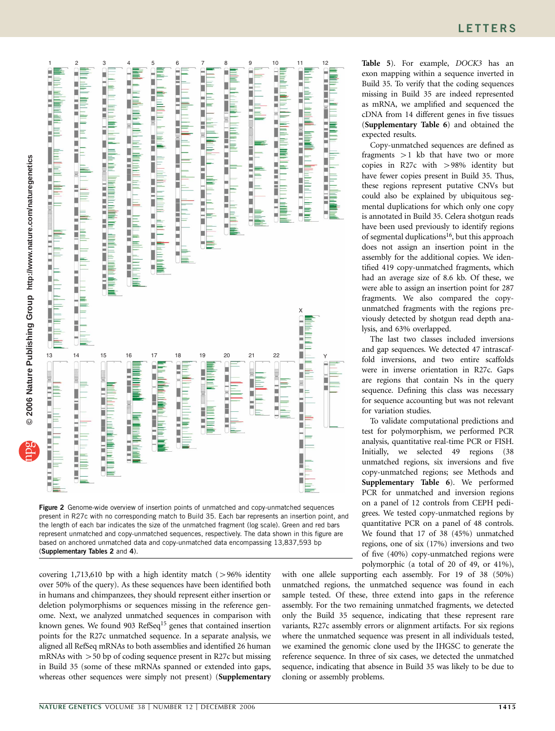

Figure 2 Genome-wide overview of insertion points of unmatched and copy-unmatched sequences present in R27c with no corresponding match to Build 35. Each bar represents an insertion point, and the length of each bar indicates the size of the unmatched fragment (log scale). Green and red bars represent unmatched and copy-unmatched sequences, respectively. The data shown in this figure are based on anchored unmatched data and copy-unmatched data encompassing 13,837,593 bp (Supplementary Tables 2 and 4).

covering 1,713,610 bp with a high identity match  $(>96\%$  identity over 50% of the query). As these sequences have been identified both in humans and chimpanzees, they should represent either insertion or deletion polymorphisms or sequences missing in the reference genome. Next, we analyzed unmatched sequences in comparison with known genes. We found 903 RefSeq<sup>15</sup> genes that contained insertion points for the R27c unmatched sequence. In a separate analysis, we aligned all RefSeq mRNAs to both assemblies and identified 26 human mRNAs with  $> 50$  bp of coding sequence present in R27c but missing in Build 35 (some of these mRNAs spanned or extended into gaps, whereas other sequences were simply not present) (Supplementary

Table 5). For example, *DOCK3* has an exon mapping within a sequence inverted in Build 35. To verify that the coding sequences missing in Build 35 are indeed represented as mRNA, we amplified and sequenced the cDNA from 14 different genes in five tissues (Supplementary Table 6) and obtained the expected results.

Copy-unmatched sequences are defined as fragments  $>1$  kb that have two or more copies in R27c with  $>98\%$  identity but have fewer copies present in Build 35. Thus, these regions represent putative CNVs but could also be explained by ubiquitous segmental duplications for which only one copy is annotated in Build 35. Celera shotgun reads have been used previously to identify regions of segmental duplications<sup>16</sup>, but this approach does not assign an insertion point in the assembly for the additional copies. We identified 419 copy-unmatched fragments, which had an average size of 8.6 kb. Of these, we were able to assign an insertion point for 287 fragments. We also compared the copyunmatched fragments with the regions previously detected by shotgun read depth analysis, and 63% overlapped.

The last two classes included inversions and gap sequences. We detected 47 intrascaffold inversions, and two entire scaffolds were in inverse orientation in R27c. Gaps are regions that contain Ns in the query sequence. Defining this class was necessary for sequence accounting but was not relevant for variation studies.

To validate computational predictions and test for polymorphism, we performed PCR analysis, quantitative real-time PCR or FISH. Initially, we selected 49 regions (38 unmatched regions, six inversions and five copy-unmatched regions; see Methods and Supplementary Table 6). We performed PCR for unmatched and inversion regions on a panel of 12 controls from CEPH pedigrees. We tested copy-unmatched regions by quantitative PCR on a panel of 48 controls. We found that 17 of 38 (45%) unmatched regions, one of six (17%) inversions and two of five (40%) copy-unmatched regions were polymorphic (a total of 20 of 49, or 41%),

with one allele supporting each assembly. For 19 of 38 (50%) unmatched regions, the unmatched sequence was found in each sample tested. Of these, three extend into gaps in the reference assembly. For the two remaining unmatched fragments, we detected only the Build 35 sequence, indicating that these represent rare variants, R27c assembly errors or alignment artifacts. For six regions where the unmatched sequence was present in all individuals tested, we examined the genomic clone used by the IHGSC to generate the reference sequence. In three of six cases, we detected the unmatched sequence, indicating that absence in Build 35 was likely to be due to cloning or assembly problems.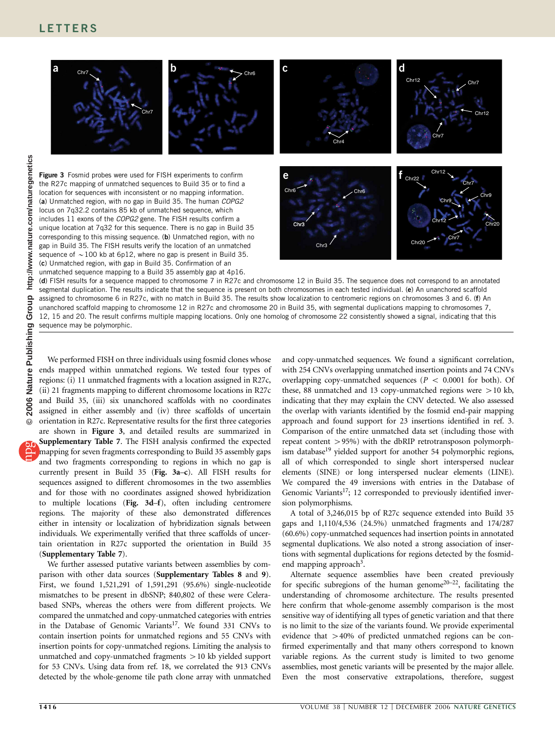

**a** child **b b c** code **c d** 



Chr12 Chr7

(d) FISH results for a sequence mapped to chromosome 7 in R27c and chromosome 12 in Build 35. The sequence does not correspond to an annotated segmental duplication. The results indicate that the sequence is present on both chromosomes in each tested individual. (e) An unanchored scaffold assigned to chromosome 6 in R27c, with no match in Build 35. The results show localization to centromeric regions on chromosomes 3 and 6. (f) An unanchored scaffold mapping to chromosome 12 in R27c and chromosome 20 in Build 35, with segmental duplications mapping to chromosomes 7, 12, 15 and 20. The result confirms multiple mapping locations. Only one homolog of chromosome 22 consistently showed a signal, indicating that this sequence may be polymorphic.

We performed FISH on three individuals using fosmid clones whose ends mapped within unmatched regions. We tested four types of regions: (i) 11 unmatched fragments with a location assigned in R27c, (ii) 21 fragments mapping to different chromosome locations in R27c and Build 35, (iii) six unanchored scaffolds with no coordinates assigned in either assembly and (iv) three scaffolds of uncertain orientation in R27c. Representative results for the first three categories are shown in Figure 3, and detailed results are summarized in Supplementary Table 7. The FISH analysis confirmed the expected mapping for seven fragments corresponding to Build 35 assembly gaps and two fragments corresponding to regions in which no gap is currently present in Build 35 (Fig. 3a–c). All FISH results for sequences assigned to different chromosomes in the two assemblies and for those with no coordinates assigned showed hybridization to multiple locations (Fig. 3d–f), often including centromere regions. The majority of these also demonstrated differences either in intensity or localization of hybridization signals between individuals. We experimentally verified that three scaffolds of uncertain orientation in R27c supported the orientation in Build 35 (Supplementary Table 7).

We further assessed putative variants between assemblies by comparison with other data sources (Supplementary Tables 8 and 9). First, we found 1,521,291 of 1,591,291 (95.6%) single-nucleotide mismatches to be present in dbSNP; 840,802 of these were Celerabased SNPs, whereas the others were from different projects. We compared the unmatched and copy-unmatched categories with entries in the Database of Genomic Variants<sup>17</sup>. We found 331 CNVs to contain insertion points for unmatched regions and 55 CNVs with insertion points for copy-unmatched regions. Limiting the analysis to unmatched and copy-unmatched fragments  $> 10$  kb yielded support for 53 CNVs. Using data from ref. 18, we correlated the 913 CNVs detected by the whole-genome tile path clone array with unmatched

and copy-unmatched sequences. We found a significant correlation, with 254 CNVs overlapping unmatched insertion points and 74 CNVs overlapping copy-unmatched sequences ( $P < 0.0001$  for both). Of these, 88 unmatched and 13 copy-unmatched regions were  $>$  10 kb, indicating that they may explain the CNV detected. We also assessed the overlap with variants identified by the fosmid end-pair mapping approach and found support for 23 insertions identified in ref. 3. Comparison of the entire unmatched data set (including those with repeat content  $> 95\%$ ) with the dbRIP retrotransposon polymorphism database<sup>19</sup> yielded support for another 54 polymorphic regions, all of which corresponded to single short interspersed nuclear elements (SINE) or long interspersed nuclear elements (LINE). We compared the 49 inversions with entries in the Database of Genomic Variants<sup>17</sup>; 12 corresponded to previously identified inversion polymorphisms.

A total of 3,246,015 bp of R27c sequence extended into Build 35 gaps and 1,110/4,536 (24.5%) unmatched fragments and 174/287 (60.6%) copy-unmatched sequences had insertion points in annotated segmental duplications. We also noted a strong association of insertions with segmental duplications for regions detected by the fosmidend mapping approach<sup>3</sup>.

Alternate sequence assemblies have been created previously for specific subregions of the human genome20–22, facilitating the understanding of chromosome architecture. The results presented here confirm that whole-genome assembly comparison is the most sensitive way of identifying all types of genetic variation and that there is no limit to the size of the variants found. We provide experimental evidence that  $>40\%$  of predicted unmatched regions can be confirmed experimentally and that many others correspond to known variable regions. As the current study is limited to two genome assemblies, most genetic variants will be presented by the major allele. Even the most conservative extrapolations, therefore, suggest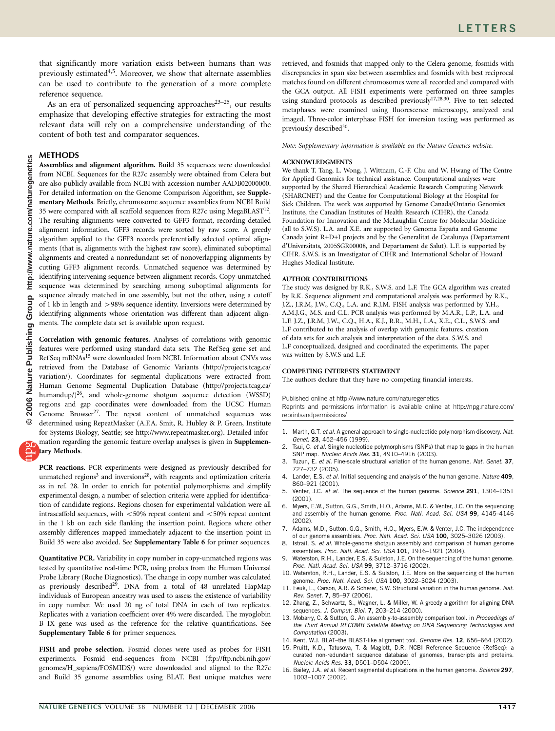that significantly more variation exists between humans than was previously estimated<sup>4,5</sup>. Moreover, we show that alternate assemblies can be used to contribute to the generation of a more complete reference sequence.

As an era of personalized sequencing approaches<sup>23-25</sup>, our results emphasize that developing effective strategies for extracting the most relevant data will rely on a comprehensive understanding of the content of both test and comparator sequences.

## METHODS

Assemblies and alignment algorithm. Build 35 sequences were downloaded from NCBI. Sequences for the R27c assembly were obtained from Celera but are also publicly available from NCBI with accession number AADB02000000. For detailed information on the Genome Comparison Algorithm, see Supplementary Methods. Briefly, chromosome sequence assemblies from NCBI Build 35 were compared with all scaffold sequences from R27c using MegaBLAST<sup>12</sup>. The resulting alignments were converted to GFF3 format, recording detailed alignment information. GFF3 records were sorted by raw score. A greedy algorithm applied to the GFF3 records preferentially selected optimal alignments (that is, alignments with the highest raw score), eliminated suboptimal alignments and created a nonredundant set of nonoverlapping alignments by cutting GFF3 alignment records. Unmatched sequence was determined by identifying intervening sequence between alignment records. Copy-unmatched sequence was determined by searching among suboptimal alignments for sequence already matched in one assembly, but not the other, using a cutoff of 1 kb in length and >98% sequence identity. Inversions were determined by identifying alignments whose orientation was different than adjacent alignments. The complete data set is available upon request.

Correlation with genomic features. Analyses of correlations with genomic features were performed using standard data sets. The Ref Seq gene set and Ref Seq mRNAs<sup>15</sup> were downloaded from NCBI. Information about CNVs was retrieved from the Database of Genomic Variants (http://projects.tcag.ca/ variation/). Coordinates for segmental duplications were extracted from Human Genome Segmental Duplication Database (http://projects.tcag.ca/ humandup/ $)^{26}$ , and whole-genome shotgun sequence detection (WSSD) regions and gap coordinates were downloaded from the UCSC Human Genome Browser<sup>27</sup>. The repeat content of unmatched sequences was determined using RepeatMasker (A.F.A. Smit, R. Hubley & P. Green, Institute for Systems Biology, Seattle; see http://www.repeatmasker.org). Detailed information regarding the genomic feature overlap analyses is given in Supplementary Methods.

PCR reactions. PCR experiments were designed as previously described for unmatched regions<sup>3</sup> and inversions<sup>28</sup>, with reagents and optimization criteria as in ref. 28. In order to enrich for potential polymorphisms and simplify experimental design, a number of selection criteria were applied for identification of candidate regions. Regions chosen for experimental validation were all intrascaffold sequences, with  $<$  50% repeat content and  $<$  50% repeat content in the 1 kb on each side flanking the insertion point. Regions where other assembly differences mapped immediately adjacent to the insertion point in Build 35 were also avoided. See Supplementary Table 6 for primer sequences.

Quantitative PCR. Variability in copy number in copy-unmatched regions was tested by quantitative real-time PCR, using probes from the Human Universal Probe Library (Roche Diagnostics). The change in copy number was calculated as previously described<sup>29</sup>. DNA from a total of 48 unrelated HapMap individuals of European ancestry was used to assess the existence of variability in copy number. We used 20 ng of total DNA in each of two replicates. Replicates with a variation coefficient over 4% were discarded. The myoglobin B IX gene was used as the reference for the relative quantifications. See Supplementary Table 6 for primer sequences.

FISH and probe selection. Fosmid clones were used as probes for FISH experiments. Fosmid end-sequences from NCBI (ftp://ftp.ncbi.nih.gov/ genomes/H\_sapiens/FOSMIDS/) were downloaded and aligned to the R27c and Build 35 genome assemblies using BLAT. Best unique matches were

retrieved, and fosmids that mapped only to the Celera genome, fosmids with discrepancies in span size between assemblies and fosmids with best reciprocal matches found on different chromosomes were all recorded and compared with the GCA output. All FISH experiments were performed on three samples using standard protocols as described previously<sup>17,28,30</sup>. Five to ten selected metaphases were examined using fluorescence microscopy, analyzed and imaged. Three-color interphase FISH for inversion testing was performed as previously described<sup>30</sup>.

Note: Supplementary information is available on the Nature Genetics website.

#### ACKNOWLEDGMENTS

We thank T. Tang, L. Wong, J. Wittnam, C.-F. Chu and W. Hwang of The Centre for Applied Genomics for technical assistance. Computational analyses were supported by the Shared Hierarchical Academic Research Computing Network (SHARCNET) and the Centre for Computational Biology at the Hospital for Sick Children. The work was supported by Genome Canada/Ontario Genomics Institute, the Canadian Institutes of Health Research (CIHR), the Canada Foundation for Innovation and the McLaughlin Centre for Molecular Medicine (all to S.W.S). L.A. and X.E. are supported by Genoma España and Genome Canada joint R+D+I projects and by the Generalitat de Catalunya (Departament d'Universitats, 2005SGR00008, and Departament de Salut). L.F. is supported by CIHR. S.W.S. is an Investigator of CIHR and International Scholar of Howard Hughes Medical Institute.

#### AUTHOR CONTRIBUTIONS

The study was designed by R.K., S.W.S. and L.F. The GCA algorithm was created by R.K. Sequence alignment and computational analysis was performed by R.K., J.Z., J.R.M, J.W., C.Q., L.A. and R.J.M. FISH analysis was performed by Y.H., A.M.J.G., M.S. and C.L. PCR analysis was performed by M.A.R., L.P., L.A. and L.F. J.Z., J.R.M, J.W., C.Q., H.A., K.J., R.R., M.H., L.A., X.E., C.L., S.W.S. and L.F contributed to the analysis of overlap with genomic features, creation of data sets for such analysis and interpretation of the data. S.W.S. and L.F conceptualized, designed and coordinated the experiments. The paper was written by S.W.S and L.F.

#### COMPETING INTERESTS STATEMENT

The authors declare that they have no competing financial interests.

Published online at http://www.nature.com/naturegenetics

Reprints and permissions information is available online at http://npg.nature.com/ reprintsandpermissions/

- 1. Marth, G.T. et al. A general approach to single-nucleotide polymorphism discovery. Nat. Genet. 23, 452–456 (1999).
- Tsui, C. et al. Single nucleotide polymorphisms (SNPs) that map to gaps in the human SNP map. Nucleic Acids Res. 31, 4910–4916 (2003).
- 3. Tuzun, E. et al. Fine-scale structural variation of the human genome. Nat. Genet. 37, 727–732 (2005).
- 4. Lander, E.S. et al. Initial sequencing and analysis of the human genome. Nature 409, 860–921 (2001).
- Venter, J.C. et al. The sequence of the human genome. Science 291, 1304-1351 (2001).
- 6. Myers, E.W., Sutton, G.G., Smith, H.O., Adams, M.D. & Venter, J.C. On the sequencing and assembly of the human genome. Proc. Natl. Acad. Sci. USA 99, 4145-4146 (2002).
- 7. Adams, M.D., Sutton, G.G., Smith, H.O., Myers, E.W. & Venter, J.C. The independence of our genome assemblies. Proc. Natl. Acad. Sci. USA 100, 3025-3026 (2003).
- Istrail, S. et al. Whole-genome shotgun assembly and comparison of human genome assemblies. Proc. Natl. Acad. Sci. USA 101, 1916–1921 (2004).
- 9. Waterston, R.H., Lander, E.S. & Sulston, J.E. On the sequencing of the human genome. Proc. Natl. Acad. Sci. USA 99, 3712-3716 (2002).
- 10. Waterston, R.H., Lander, E.S. & Sulston, J.E. More on the sequencing of the human genome. Proc. Natl. Acad. Sci. USA 100, 3022-3024 (2003).
- 11. Feuk, L., Carson, A.R. & Scherer, S.W. Structural variation in the human genome. Nat. Rev. Genet. 7, 85–97 (2006).
- 12. Zhang, Z., Schwartz, S., Wagner, L. & Miller, W. A greedy algorithm for aligning DNA sequences. J. Comput. Biol. 7, 203–214 (2000).
- 13. Mobarry, C. & Sutton, G. An assembly-to-assembly comparison tool. in Proceedings of the Third Annual RECOMB Satellite Meeting on DNA Sequencing Technologies and Computation (2003).
- 14. Kent, W.J. BLAT-the BLAST-like alignment tool. Genome Res. 12, 656-664 (2002).
- 15. Pruitt, K.D., Tatusova, T. & Maglott, D.R. NCBI Reference Sequence (RefSeq): a curated non-redundant sequence database of genomes, transcripts and proteins. Nucleic Acids Res. 33, D501–D504 (2005).
- 16. Bailey, J.A. et al. Recent segmental duplications in the human genome. Science 297, 1003–1007 (2002).